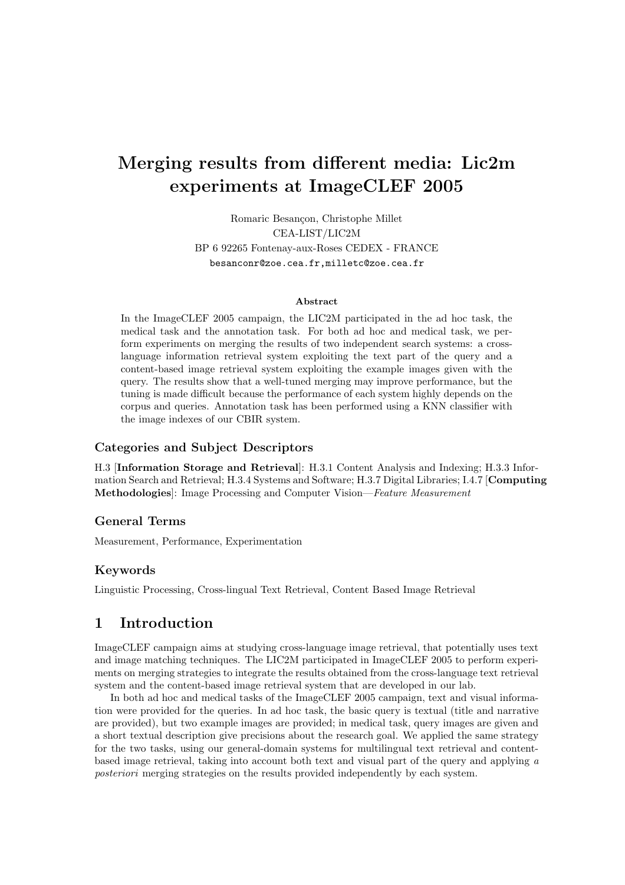# Merging results from different media: Lic2m experiments at ImageCLEF 2005

Romaric Besançon, Christophe Millet CEA-LIST/LIC2M BP 6 92265 Fontenay-aux-Roses CEDEX - FRANCE besanconr@zoe.cea.fr,milletc@zoe.cea.fr

#### Abstract

In the ImageCLEF 2005 campaign, the LIC2M participated in the ad hoc task, the medical task and the annotation task. For both ad hoc and medical task, we perform experiments on merging the results of two independent search systems: a crosslanguage information retrieval system exploiting the text part of the query and a content-based image retrieval system exploiting the example images given with the query. The results show that a well-tuned merging may improve performance, but the tuning is made difficult because the performance of each system highly depends on the corpus and queries. Annotation task has been performed using a KNN classifier with the image indexes of our CBIR system.

#### Categories and Subject Descriptors

H.3 [Information Storage and Retrieval]: H.3.1 Content Analysis and Indexing; H.3.3 Information Search and Retrieval; H.3.4 Systems and Software; H.3.7 Digital Libraries; I.4.7 [Computing Methodologies]: Image Processing and Computer Vision—Feature Measurement

#### General Terms

Measurement, Performance, Experimentation

## Keywords

Linguistic Processing, Cross-lingual Text Retrieval, Content Based Image Retrieval

## 1 Introduction

ImageCLEF campaign aims at studying cross-language image retrieval, that potentially uses text and image matching techniques. The LIC2M participated in ImageCLEF 2005 to perform experiments on merging strategies to integrate the results obtained from the cross-language text retrieval system and the content-based image retrieval system that are developed in our lab.

In both ad hoc and medical tasks of the ImageCLEF 2005 campaign, text and visual information were provided for the queries. In ad hoc task, the basic query is textual (title and narrative are provided), but two example images are provided; in medical task, query images are given and a short textual description give precisions about the research goal. We applied the same strategy for the two tasks, using our general-domain systems for multilingual text retrieval and contentbased image retrieval, taking into account both text and visual part of the query and applying a posteriori merging strategies on the results provided independently by each system.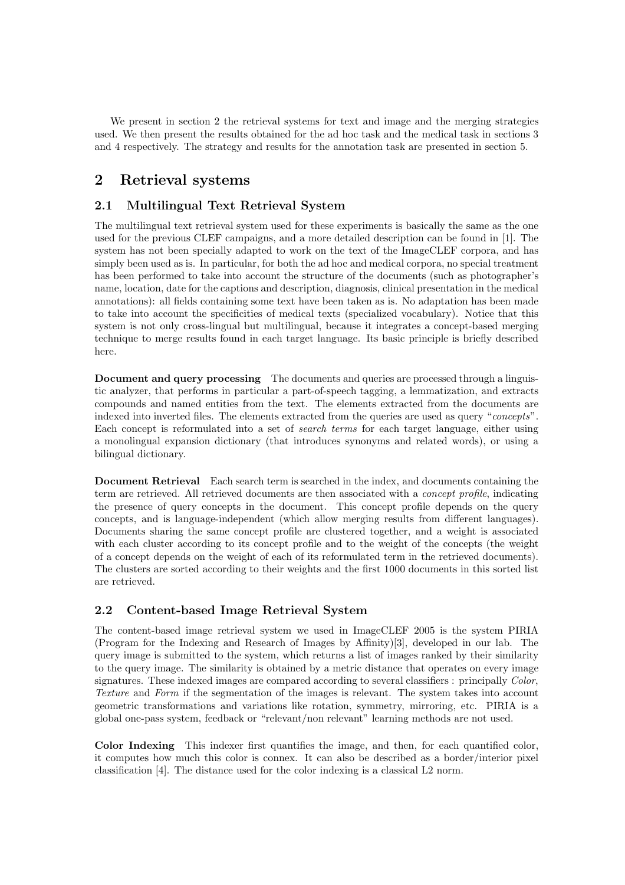We present in section 2 the retrieval systems for text and image and the merging strategies used. We then present the results obtained for the ad hoc task and the medical task in sections 3 and 4 respectively. The strategy and results for the annotation task are presented in section 5.

# 2 Retrieval systems

## 2.1 Multilingual Text Retrieval System

The multilingual text retrieval system used for these experiments is basically the same as the one used for the previous CLEF campaigns, and a more detailed description can be found in [1]. The system has not been specially adapted to work on the text of the ImageCLEF corpora, and has simply been used as is. In particular, for both the ad hoc and medical corpora, no special treatment has been performed to take into account the structure of the documents (such as photographer's name, location, date for the captions and description, diagnosis, clinical presentation in the medical annotations): all fields containing some text have been taken as is. No adaptation has been made to take into account the specificities of medical texts (specialized vocabulary). Notice that this system is not only cross-lingual but multilingual, because it integrates a concept-based merging technique to merge results found in each target language. Its basic principle is briefly described here.

Document and query processing The documents and queries are processed through a linguistic analyzer, that performs in particular a part-of-speech tagging, a lemmatization, and extracts compounds and named entities from the text. The elements extracted from the documents are indexed into inverted files. The elements extracted from the queries are used as query "concepts". Each concept is reformulated into a set of search terms for each target language, either using a monolingual expansion dictionary (that introduces synonyms and related words), or using a bilingual dictionary.

Document Retrieval Each search term is searched in the index, and documents containing the term are retrieved. All retrieved documents are then associated with a concept profile, indicating the presence of query concepts in the document. This concept profile depends on the query concepts, and is language-independent (which allow merging results from different languages). Documents sharing the same concept profile are clustered together, and a weight is associated with each cluster according to its concept profile and to the weight of the concepts (the weight of a concept depends on the weight of each of its reformulated term in the retrieved documents). The clusters are sorted according to their weights and the first 1000 documents in this sorted list are retrieved.

## 2.2 Content-based Image Retrieval System

The content-based image retrieval system we used in ImageCLEF 2005 is the system PIRIA (Program for the Indexing and Research of Images by Affinity)[3], developed in our lab. The query image is submitted to the system, which returns a list of images ranked by their similarity to the query image. The similarity is obtained by a metric distance that operates on every image signatures. These indexed images are compared according to several classifiers : principally Color, Texture and Form if the segmentation of the images is relevant. The system takes into account geometric transformations and variations like rotation, symmetry, mirroring, etc. PIRIA is a global one-pass system, feedback or "relevant/non relevant" learning methods are not used.

Color Indexing This indexer first quantifies the image, and then, for each quantified color, it computes how much this color is connex. It can also be described as a border/interior pixel classification [4]. The distance used for the color indexing is a classical L2 norm.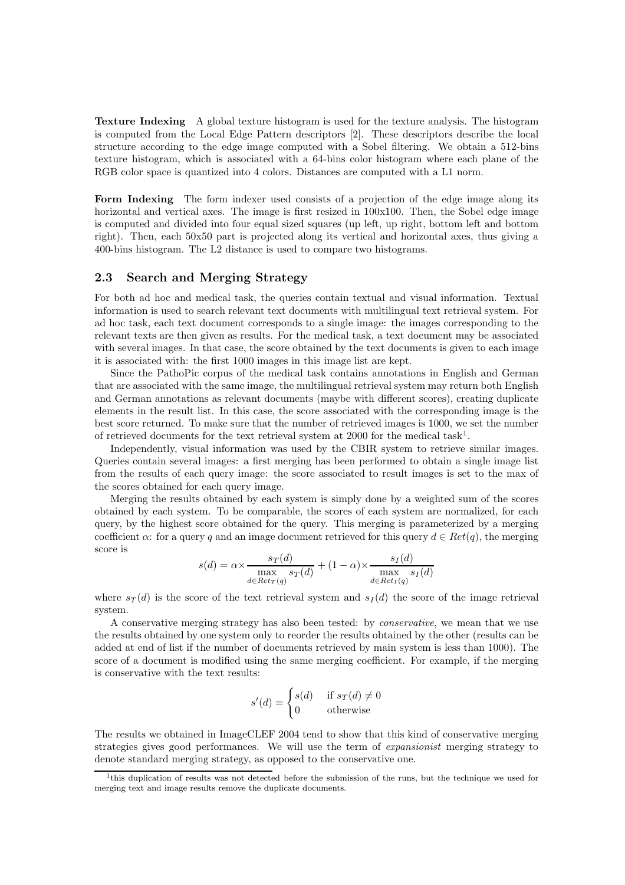Texture Indexing A global texture histogram is used for the texture analysis. The histogram is computed from the Local Edge Pattern descriptors [2]. These descriptors describe the local structure according to the edge image computed with a Sobel filtering. We obtain a 512-bins texture histogram, which is associated with a 64-bins color histogram where each plane of the RGB color space is quantized into 4 colors. Distances are computed with a L1 norm.

Form Indexing The form indexer used consists of a projection of the edge image along its horizontal and vertical axes. The image is first resized in  $100x100$ . Then, the Sobel edge image is computed and divided into four equal sized squares (up left, up right, bottom left and bottom right). Then, each 50x50 part is projected along its vertical and horizontal axes, thus giving a 400-bins histogram. The L2 distance is used to compare two histograms.

#### 2.3 Search and Merging Strategy

For both ad hoc and medical task, the queries contain textual and visual information. Textual information is used to search relevant text documents with multilingual text retrieval system. For ad hoc task, each text document corresponds to a single image: the images corresponding to the relevant texts are then given as results. For the medical task, a text document may be associated with several images. In that case, the score obtained by the text documents is given to each image it is associated with: the first 1000 images in this image list are kept.

Since the PathoPic corpus of the medical task contains annotations in English and German that are associated with the same image, the multilingual retrieval system may return both English and German annotations as relevant documents (maybe with different scores), creating duplicate elements in the result list. In this case, the score associated with the corresponding image is the best score returned. To make sure that the number of retrieved images is 1000, we set the number of retrieved documents for the text retrieval system at 2000 for the medical task<sup>1</sup>.

Independently, visual information was used by the CBIR system to retrieve similar images. Queries contain several images: a first merging has been performed to obtain a single image list from the results of each query image: the score associated to result images is set to the max of the scores obtained for each query image.

Merging the results obtained by each system is simply done by a weighted sum of the scores obtained by each system. To be comparable, the scores of each system are normalized, for each query, by the highest score obtained for the query. This merging is parameterized by a merging coefficient  $\alpha$ : for a query q and an image document retrieved for this query  $d \in Ret(q)$ , the merging score is

$$
s(d) = \alpha \times \frac{s_T(d)}{\max_{d \in Ret_T(q)} s_T(d)} + (1 - \alpha) \times \frac{s_I(d)}{\max_{d \in Ret_I(q)} s_I(d)}
$$

where  $s_T(d)$  is the score of the text retrieval system and  $s_I(d)$  the score of the image retrieval system.

A conservative merging strategy has also been tested: by conservative, we mean that we use the results obtained by one system only to reorder the results obtained by the other (results can be added at end of list if the number of documents retrieved by main system is less than 1000). The score of a document is modified using the same merging coefficient. For example, if the merging is conservative with the text results:

$$
s'(d) = \begin{cases} s(d) & \text{if } s_T(d) \neq 0\\ 0 & \text{otherwise} \end{cases}
$$

The results we obtained in ImageCLEF 2004 tend to show that this kind of conservative merging strategies gives good performances. We will use the term of expansionist merging strategy to denote standard merging strategy, as opposed to the conservative one.

<sup>&</sup>lt;sup>1</sup>this duplication of results was not detected before the submission of the runs, but the technique we used for merging text and image results remove the duplicate documents.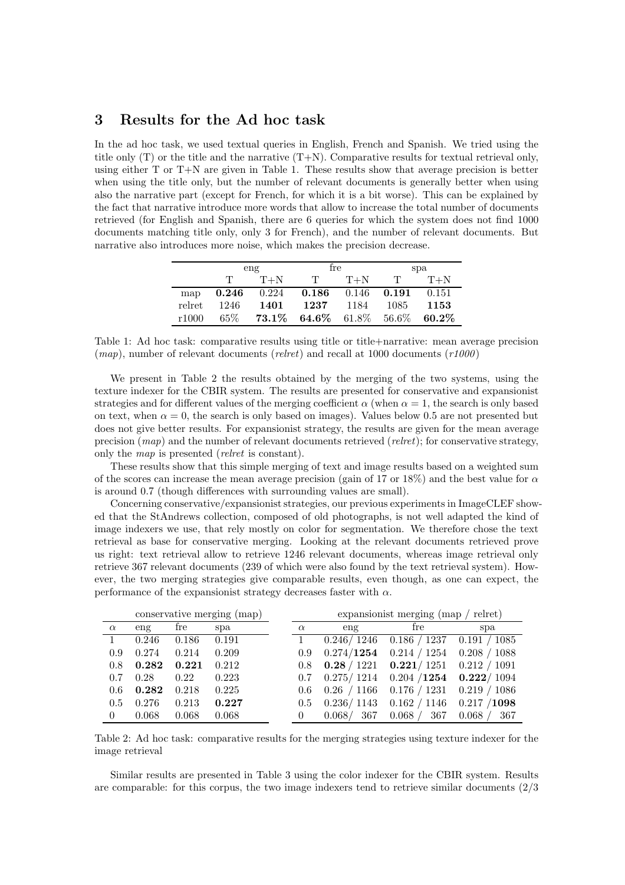# 3 Results for the Ad hoc task

In the ad hoc task, we used textual queries in English, French and Spanish. We tried using the title only (T) or the title and the narrative (T+N). Comparative results for textual retrieval only, using either T or T+N are given in Table 1. These results show that average precision is better when using the title only, but the number of relevant documents is generally better when using also the narrative part (except for French, for which it is a bit worse). This can be explained by the fact that narrative introduce more words that allow to increase the total number of documents retrieved (for English and Spanish, there are 6 queries for which the system does not find 1000 documents matching title only, only 3 for French), and the number of relevant documents. But narrative also introduces more noise, which makes the precision decrease.

|        | eng    |       | fre                                |                         | spa          |          |
|--------|--------|-------|------------------------------------|-------------------------|--------------|----------|
|        | T.     | $T+N$ | $\mathbf{T}$                       | $T+N$                   | $\mathbf{T}$ | $T+N$    |
| map    | 0.246  | 0.224 |                                    | $0.186$ $0.146$ $0.191$ |              | 0.151    |
| relret | 1246   | 1401  | 1237                               | 1184                    | -1085        | 1153     |
| r1000  | $65\%$ |       | <b>73.1\% 64.6\%</b> 61.8\% 56.6\% |                         |              | $60.2\%$ |

Table 1: Ad hoc task: comparative results using title or title+narrative: mean average precision  $(map)$ , number of relevant documents  $(relret)$  and recall at 1000 documents  $(r1000)$ 

We present in Table 2 the results obtained by the merging of the two systems, using the texture indexer for the CBIR system. The results are presented for conservative and expansionist strategies and for different values of the merging coefficient  $\alpha$  (when  $\alpha = 1$ , the search is only based on text, when  $\alpha = 0$ , the search is only based on images). Values below 0.5 are not presented but does not give better results. For expansionist strategy, the results are given for the mean average precision  $(map)$  and the number of relevant documents retrieved (relret); for conservative strategy, only the map is presented (relret is constant).

These results show that this simple merging of text and image results based on a weighted sum of the scores can increase the mean average precision (gain of 17 or 18%) and the best value for  $\alpha$ is around 0.7 (though differences with surrounding values are small).

Concerning conservative/expansionist strategies, our previous experiments in ImageCLEF showed that the StAndrews collection, composed of old photographs, is not well adapted the kind of image indexers we use, that rely mostly on color for segmentation. We therefore chose the text retrieval as base for conservative merging. Looking at the relevant documents retrieved prove us right: text retrieval allow to retrieve 1246 relevant documents, whereas image retrieval only retrieve 367 relevant documents (239 of which were also found by the text retrieval system). However, the two merging strategies give comparable results, even though, as one can expect, the performance of the expansionist strategy decreases faster with  $\alpha$ .

|          | conservative merging (map) |       |       |          | expansion is t merging $(\text{map}/\text{relret})$ |                       |                     |  |  |
|----------|----------------------------|-------|-------|----------|-----------------------------------------------------|-----------------------|---------------------|--|--|
| $\alpha$ | eng                        | fre   | spa   | $\alpha$ | eng                                                 | fre                   | spa                 |  |  |
|          | 0.246                      | 0.186 | 0.191 |          | 0.246/1246                                          | 0.186 / 1237          | 0.191 / 1085        |  |  |
| 0.9      | 0.274                      | 0.214 | 0.209 | 0.9      | 0.274/1254                                          | 0.214 / 1254          | 0.208 / 1088        |  |  |
| 0.8      | 0.282                      | 0.221 | 0.212 | 0.8      | 0.28 / 1221                                         | 0.221/1251            | 0.212 / 1091        |  |  |
| 0.7      | 0.28                       | 0.22  | 0.223 | 0.7      | 0.275/1214                                          | $0.204$ / <b>1254</b> | $\bm{0.222} / 1094$ |  |  |
| 0.6      | 0.282                      | 0.218 | 0.225 | 0.6      | /1166<br>0.26                                       | 0.176 / 1231          | 0.219 / 1086        |  |  |
| 0.5      | 0.276                      | 0.213 | 0.227 | 0.5      | 0.236/1143                                          | 0.162 / 1146          | 0.217 / 1098        |  |  |
| $\Omega$ | 0.068                      | 0.068 | 0.068 |          | 367<br>0.068/                                       | 367<br>0.068          | 0.068<br>367        |  |  |

Table 2: Ad hoc task: comparative results for the merging strategies using texture indexer for the image retrieval

Similar results are presented in Table 3 using the color indexer for the CBIR system. Results are comparable: for this corpus, the two image indexers tend to retrieve similar documents (2/3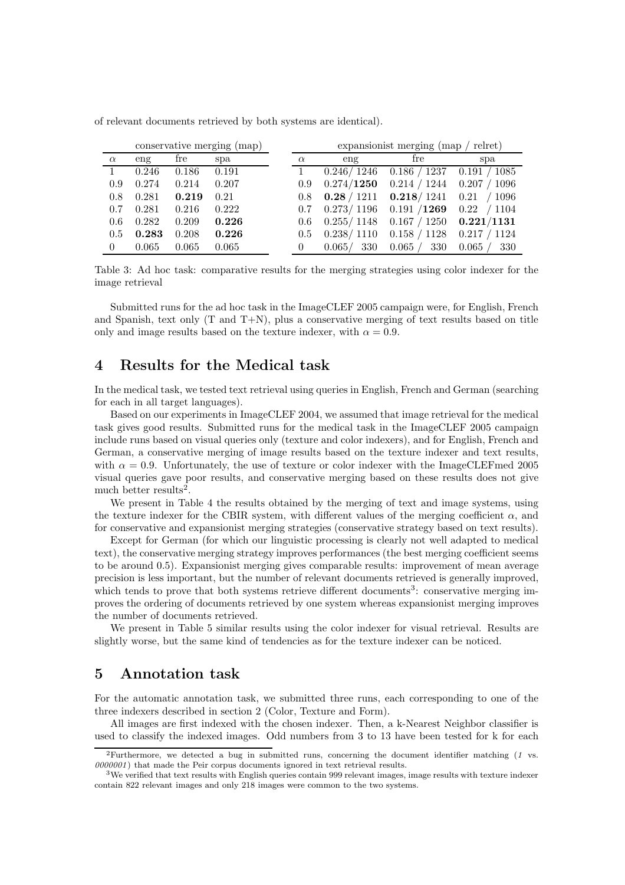|          |       |       | conservative merging (map) |                  |               | expansion is t merging (map / relief)                        |                |
|----------|-------|-------|----------------------------|------------------|---------------|--------------------------------------------------------------|----------------|
| $\alpha$ | eng   | fre   | spa                        | $\alpha$         | eng           | fre                                                          | spa            |
|          | 0.246 | 0.186 | 0.191                      |                  |               | $0.246 / 1246$ $0.186 / 1237$ $0.191 / 1085$                 |                |
| 0.9      | 0.274 | 0.214 | 0.207                      | 0.9 <sup>°</sup> |               | $0.274/1250$ $0.214/1244$ $0.207/1096$                       |                |
| 0.8      | 0.281 | 0.219 | 0.21                       |                  |               | 0.8 $\,$ 0.28 / 1211 $\,$ 0.218 / 1241 $\,$ 0.21 $\,$ / 1096 |                |
| 0.7      | 0.281 | 0.216 | 0.222                      |                  |               | $0.7$ $0.273/1196$ $0.191/1269$ $0.22$ / 1104                |                |
| 0.6      | 0.282 | 0.209 | 0.226                      | 0.6              |               | $0.255/1148$ $0.167/1250$ $0.221/1131$                       |                |
| 0.5      | 0.283 | 0.208 | 0.226                      | 0.5              | 0.238/1110    | $0.158 / 1128$ 0.217 / 1124                                  |                |
| 0        | 0.065 | 0.065 | 0.065                      |                  | 330<br>0.065/ | 0.065 /<br>330                                               | 330<br>0.065 / |

of relevant documents retrieved by both systems are identical).

Table 3: Ad hoc task: comparative results for the merging strategies using color indexer for the image retrieval

Submitted runs for the ad hoc task in the ImageCLEF 2005 campaign were, for English, French and Spanish, text only  $(T \text{ and } T+N)$ , plus a conservative merging of text results based on title only and image results based on the texture indexer, with  $\alpha = 0.9$ .

## 4 Results for the Medical task

In the medical task, we tested text retrieval using queries in English, French and German (searching for each in all target languages).

Based on our experiments in ImageCLEF 2004, we assumed that image retrieval for the medical task gives good results. Submitted runs for the medical task in the ImageCLEF 2005 campaign include runs based on visual queries only (texture and color indexers), and for English, French and German, a conservative merging of image results based on the texture indexer and text results, with  $\alpha = 0.9$ . Unfortunately, the use of texture or color indexer with the ImageCLEFmed 2005 visual queries gave poor results, and conservative merging based on these results does not give much better results<sup>2</sup>.

We present in Table 4 the results obtained by the merging of text and image systems, using the texture indexer for the CBIR system, with different values of the merging coefficient  $\alpha$ , and for conservative and expansionist merging strategies (conservative strategy based on text results).

Except for German (for which our linguistic processing is clearly not well adapted to medical text), the conservative merging strategy improves performances (the best merging coefficient seems to be around 0.5). Expansionist merging gives comparable results: improvement of mean average precision is less important, but the number of relevant documents retrieved is generally improved, which tends to prove that both systems retrieve different documents<sup>3</sup>: conservative merging improves the ordering of documents retrieved by one system whereas expansionist merging improves the number of documents retrieved.

We present in Table 5 similar results using the color indexer for visual retrieval. Results are slightly worse, but the same kind of tendencies as for the texture indexer can be noticed.

## 5 Annotation task

For the automatic annotation task, we submitted three runs, each corresponding to one of the three indexers described in section 2 (Color, Texture and Form).

All images are first indexed with the chosen indexer. Then, a k-Nearest Neighbor classifier is used to classify the indexed images. Odd numbers from 3 to 13 have been tested for k for each

<sup>&</sup>lt;sup>2</sup>Furthermore, we detected a bug in submitted runs, concerning the document identifier matching  $(1 \text{ vs. } 1)$  $0000001$ ) that made the Peir corpus documents ignored in text retrieval results.

<sup>&</sup>lt;sup>3</sup>We verified that text results with English queries contain 999 relevant images, image results with texture indexer contain 822 relevant images and only 218 images were common to the two systems.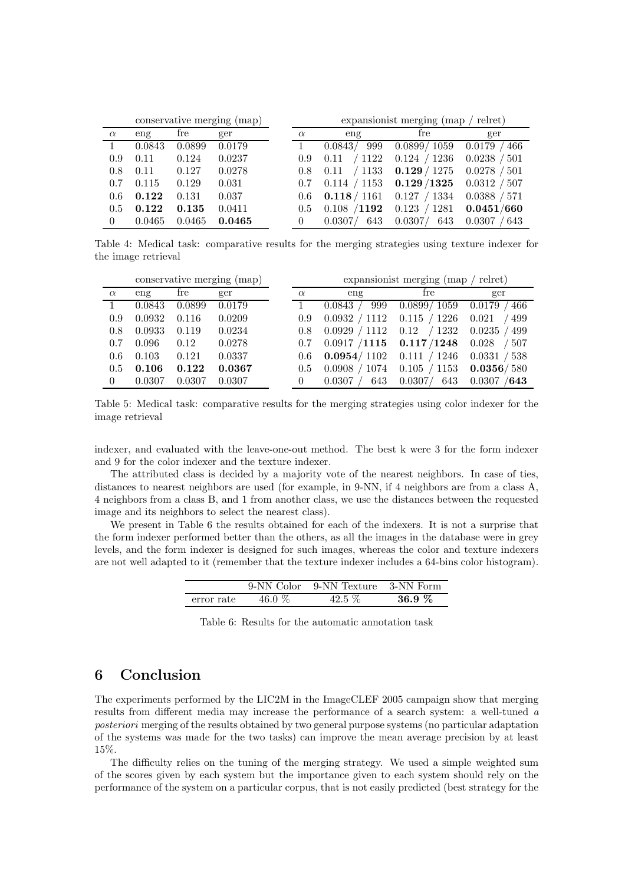|          | conservative merging (map) |        |        | expansionist merging (map / relret) |                |                                  |                           |  |
|----------|----------------------------|--------|--------|-------------------------------------|----------------|----------------------------------|---------------------------|--|
| $\alpha$ | eng                        | fre    | ger    | $\alpha$                            | eng            | fre                              | ger                       |  |
|          | 0.0843                     | 0.0899 | 0.0179 |                                     | 0.0843/<br>999 | 0.0899/ 1059                     | 466<br>0.0179             |  |
| 0.9      | 0.11                       | 0.124  | 0.0237 | 0.9                                 | 0.11           | $/1122$ 0.124 $/1236$            | 0.0238<br>$^{\prime}$ 501 |  |
| 0.8      | 0.11                       | 0.127  | 0.0278 | 0.8                                 |                | $0.11$ / 1133 $0.129$ / 1275     | 0.0278<br>/ 501           |  |
| 0.7      | 0.115                      | 0.129  | 0.031  | 0.7                                 |                | $0.114 / 1153$ $0.129 / 1325$    | 0.0312 / 507              |  |
| 0.6      | 0.122                      | 0.131  | 0.037  | 0.6                                 |                | <b>0.118</b> / 1161 0.127 / 1334 | 0.0388 / 571              |  |
| 0.5      | 0.122                      | 0.135  | 0.0411 | 0.5                                 | 0.108 / 1192   | 0.123 / 1281                     | 0.0451/660                |  |
| 0        | 0.0465                     | 0.0465 | 0.0465 |                                     | 0.0307/<br>643 | 0.0307/<br>643                   | 0.0307<br>643             |  |

Table 4: Medical task: comparative results for the merging strategies using texture indexer for the image retrieval

|          | conservative merging (map) |        |        |          | expansionist merging (map / relret)     |                                |                |  |  |
|----------|----------------------------|--------|--------|----------|-----------------------------------------|--------------------------------|----------------|--|--|
| $\alpha$ | eng                        | fre    | ger    | $\alpha$ | eng                                     | fre                            | ger            |  |  |
|          | 0.0843                     | 0.0899 | 0.0179 |          | 999<br>$0.0843$ /                       | $0.0899 / 1059$ 0.0179 / 466   |                |  |  |
| 0.9      | 0.0932                     | 0.116  | 0.0209 | 0.9      | 0.0932 / 1112                           | 0.115 / 1226                   | / 499<br>0.021 |  |  |
| 0.8      | 0.0933                     | 0.119  | 0.0234 | 0.8      | 0.0929 / 1112                           | $0.12$ $/1232$ $0.0235$ $/499$ |                |  |  |
| 0.7      | 0.096                      | 0.12   | 0.0278 | 0.7      | $0.0917 / 1115$ $0.117 / 1248$ $0.028$  |                                | /507           |  |  |
| 0.6      | 0.103                      | 0.121  | 0.0337 | 0.6      | $0.0954/1102$ 0.111 / 1246 0.0331 / 538 |                                |                |  |  |
| 0.5      | 0.106                      | 0.122  | 0.0367 | 0.5      | 0.0908 / 1074                           | $0.105 / 1153$ 0.0356/580      |                |  |  |
| $\theta$ | 0.0307                     | 0.0307 | 0.0307 | $\theta$ | 643<br>0.0307                           | $0.0307/$ 643                  | 0.0307 / 643   |  |  |

Table 5: Medical task: comparative results for the merging strategies using color indexer for the image retrieval

indexer, and evaluated with the leave-one-out method. The best k were 3 for the form indexer and 9 for the color indexer and the texture indexer.

The attributed class is decided by a majority vote of the nearest neighbors. In case of ties, distances to nearest neighbors are used (for example, in 9-NN, if 4 neighbors are from a class A, 4 neighbors from a class B, and 1 from another class, we use the distances between the requested image and its neighbors to select the nearest class).

We present in Table 6 the results obtained for each of the indexers. It is not a surprise that the form indexer performed better than the others, as all the images in the database were in grey levels, and the form indexer is designed for such images, whereas the color and texture indexers are not well adapted to it (remember that the texture indexer includes a 64-bins color histogram).

|            | 9-NN Color | 9-NN Texture 3-NN Form |          |
|------------|------------|------------------------|----------|
| error rate | 46.0 %     | 42.5 $%$               | 36.9 $%$ |

Table 6: Results for the automatic annotation task

# 6 Conclusion

The experiments performed by the LIC2M in the ImageCLEF 2005 campaign show that merging results from different media may increase the performance of a search system: a well-tuned a posteriori merging of the results obtained by two general purpose systems (no particular adaptation of the systems was made for the two tasks) can improve the mean average precision by at least 15%.

The difficulty relies on the tuning of the merging strategy. We used a simple weighted sum of the scores given by each system but the importance given to each system should rely on the performance of the system on a particular corpus, that is not easily predicted (best strategy for the